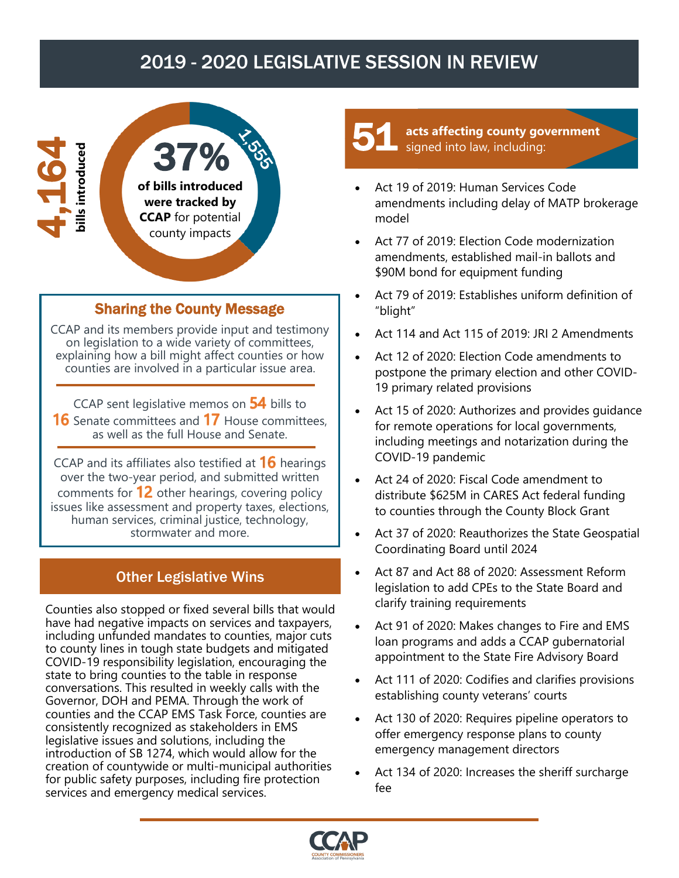## 2019 - 2020 LEGISLATIVE SESSION IN REVIEW



#### Sharing the County Message

CCAP and its members provide input and testimony on legislation to a wide variety of committees, explaining how a bill might affect counties or how counties are involved in a particular issue area.

CCAP sent legislative memos on  $54$  bills to **16** Senate committees and **17** House committees, as well as the full House and Senate.

CCAP and its affiliates also testified at  $16$  hearings over the two-year period, and submitted written comments for  $12$  other hearings, covering policy issues like assessment and property taxes, elections, human services, criminal justice, technology, stormwater and more.

### Other Legislative Wins

Counties also stopped or fixed several bills that would have had negative impacts on services and taxpayers, including unfunded mandates to counties, major cuts to county lines in tough state budgets and mitigated COVID-19 responsibility legislation, encouraging the state to bring counties to the table in response conversations. This resulted in weekly calls with the Governor, DOH and PEMA. Through the work of counties and the CCAP EMS Task Force, counties are consistently recognized as stakeholders in EMS legislative issues and solutions, including the introduction of SB 1274, which would allow for the creation of countywide or multi-municipal authorities for public safety purposes, including fire protection services and emergency medical services.

**acts affecting county government**  signed into law, including: 51

- Act 19 of 2019: Human Services Code amendments including delay of MATP brokerage model
- Act 77 of 2019: Election Code modernization amendments, established mail-in ballots and \$90M bond for equipment funding
- Act 79 of 2019: Establishes uniform definition of "blight"
- Act 114 and Act 115 of 2019: JRI 2 Amendments
- Act 12 of 2020: Election Code amendments to postpone the primary election and other COVID-19 primary related provisions
- Act 15 of 2020: Authorizes and provides guidance for remote operations for local governments, including meetings and notarization during the COVID-19 pandemic
- Act 24 of 2020: Fiscal Code amendment to distribute \$625M in CARES Act federal funding to counties through the County Block Grant
- Act 37 of 2020: Reauthorizes the State Geospatial Coordinating Board until 2024
- Act 87 and Act 88 of 2020: Assessment Reform legislation to add CPEs to the State Board and clarify training requirements
- Act 91 of 2020: Makes changes to Fire and EMS loan programs and adds a CCAP gubernatorial appointment to the State Fire Advisory Board
- Act 111 of 2020: Codifies and clarifies provisions establishing county veterans' courts
- Act 130 of 2020: Requires pipeline operators to offer emergency response plans to county emergency management directors
- Act 134 of 2020: Increases the sheriff surcharge fee